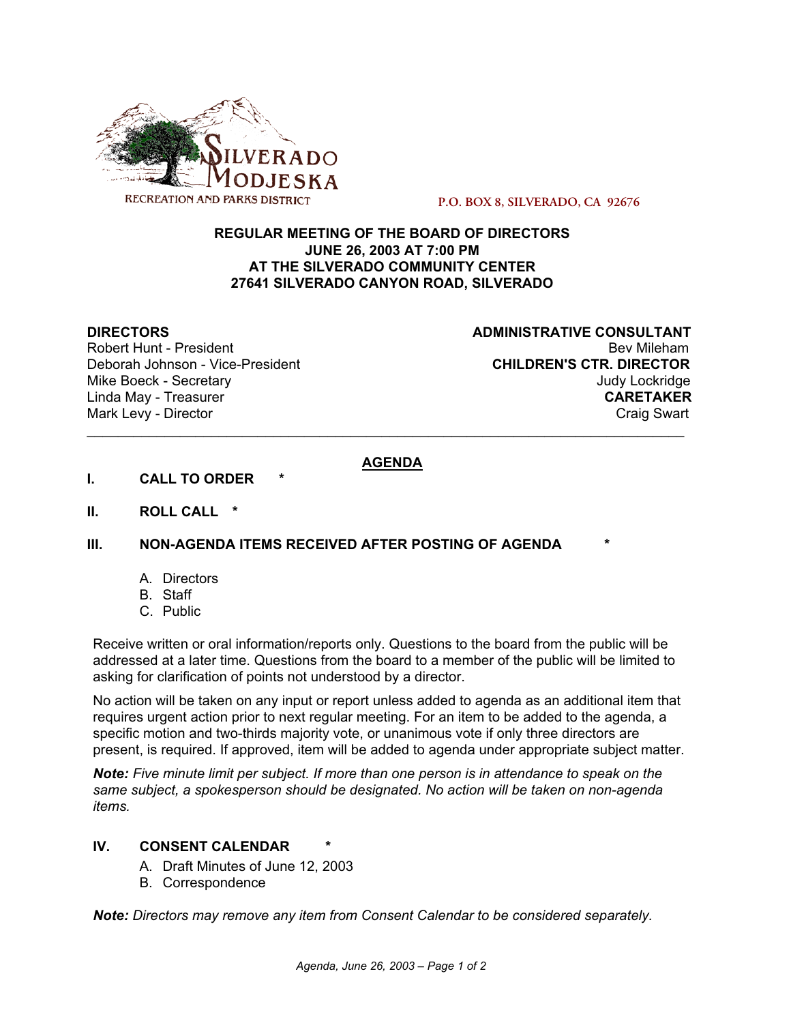

**P.O. BOX 8, SILVERADO, CA 92676**

### **REGULAR MEETING OF THE BOARD OF DIRECTORS JUNE 26, 2003 AT 7:00 PM AT THE SILVERADO COMMUNITY CENTER 27641 SILVERADO CANYON ROAD, SILVERADO**

Robert Hunt - President

**DIRECTORS**<br>Robert Hunt - President<br>Robert Hunt - President Deborah Johnson - Vice-President **CHILDREN'S CTR. DIRECTOR** Mike Boeck - Secretary **Judy Lockridge Judy Lockridge** Linda May - Treasurer **CARETAKER** Mark Levy - Director **Craig Swart** 

# **AGENDA**

\_\_\_\_\_\_\_\_\_\_\_\_\_\_\_\_\_\_\_\_\_\_\_\_\_\_\_\_\_\_\_\_\_\_\_\_\_\_\_\_\_\_\_\_\_\_\_\_\_\_\_\_\_\_\_\_\_\_\_\_\_\_\_\_\_\_\_\_\_\_\_\_\_\_\_\_\_

- **I.** CALL TO ORDER
- **II. ROLL CALL \***

#### **III. NON-AGENDA ITEMS RECEIVED AFTER POSTING OF AGENDA \***

- A. Directors
- B. Staff
- C. Public

Receive written or oral information/reports only. Questions to the board from the public will be addressed at a later time. Questions from the board to a member of the public will be limited to asking for clarification of points not understood by a director.

No action will be taken on any input or report unless added to agenda as an additional item that requires urgent action prior to next regular meeting. For an item to be added to the agenda, a specific motion and two-thirds majority vote, or unanimous vote if only three directors are present, is required. If approved, item will be added to agenda under appropriate subject matter.

*Note: Five minute limit per subject. If more than one person is in attendance to speak on the same subject, a spokesperson should be designated. No action will be taken on non-agenda items.*

## **IV. CONSENT CALENDAR** *\**

- A. Draft Minutes of June 12, 2003
- B. Correspondence

*Note: Directors may remove any item from Consent Calendar to be considered separately.*